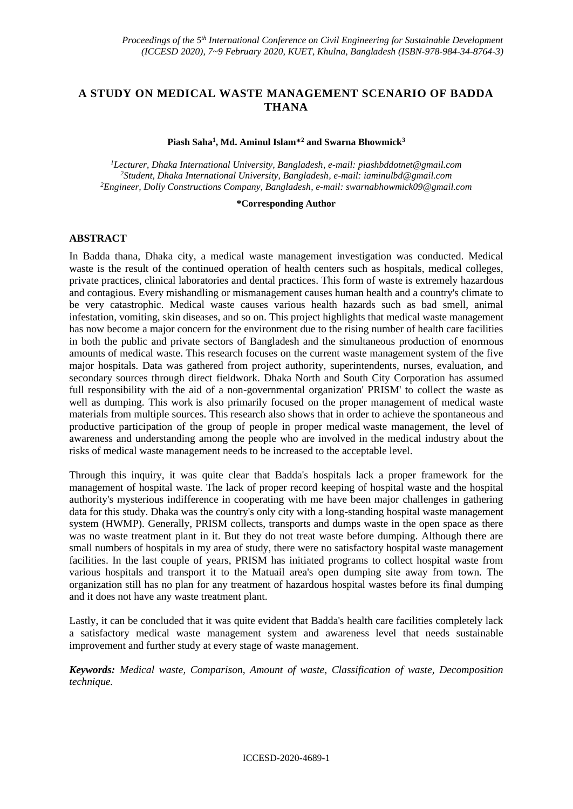# **A STUDY ON MEDICAL WASTE MANAGEMENT SCENARIO OF BADDA THANA**

#### **Piash Saha<sup>1</sup> , Md. Aminul Islam\*<sup>2</sup> and Swarna Bhowmick<sup>3</sup>**

*<sup>1</sup>Lecturer, Dhaka International University, Bangladesh, e-mail: piashbddotnet@gmail.com <sup>2</sup>Student, Dhaka International University, Bangladesh, e-mail: [iaminulbd@gmail.com](mailto:iaminulbd@gmail.com) <sup>2</sup>Engineer, Dolly Constructions Company, Bangladesh, e-mail[: swarnabhowmick09@gmail.com](mailto:swarnabhowmick09@gmail.com)*

#### **\*Corresponding Author**

## **ABSTRACT**

In Badda thana, Dhaka city, a medical waste management investigation was conducted. Medical waste is the result of the continued operation of health centers such as hospitals, medical colleges, private practices, clinical laboratories and dental practices. This form of waste is extremely hazardous and contagious. Every mishandling or mismanagement causes human health and a country's climate to be very catastrophic. Medical waste causes various health hazards such as bad smell, animal infestation, vomiting, skin diseases, and so on. This project highlights that medical waste management has now become a major concern for the environment due to the rising number of health care facilities in both the public and private sectors of Bangladesh and the simultaneous production of enormous amounts of medical waste. This research focuses on the current waste management system of the five major hospitals. Data was gathered from project authority, superintendents, nurses, evaluation, and secondary sources through direct fieldwork. Dhaka North and South City Corporation has assumed full responsibility with the aid of a non-governmental organization' PRISM' to collect the waste as well as dumping. This work is also primarily focused on the proper management of medical waste materials from multiple sources. This research also shows that in order to achieve the spontaneous and productive participation of the group of people in proper medical waste management, the level of awareness and understanding among the people who are involved in the medical industry about the risks of medical waste management needs to be increased to the acceptable level.

Through this inquiry, it was quite clear that Badda's hospitals lack a proper framework for the management of hospital waste. The lack of proper record keeping of hospital waste and the hospital authority's mysterious indifference in cooperating with me have been major challenges in gathering data for this study. Dhaka was the country's only city with a long-standing hospital waste management system (HWMP). Generally, PRISM collects, transports and dumps waste in the open space as there was no waste treatment plant in it. But they do not treat waste before dumping. Although there are small numbers of hospitals in my area of study, there were no satisfactory hospital waste management facilities. In the last couple of years, PRISM has initiated programs to collect hospital waste from various hospitals and transport it to the Matuail area's open dumping site away from town. The organization still has no plan for any treatment of hazardous hospital wastes before its final dumping and it does not have any waste treatment plant.

Lastly, it can be concluded that it was quite evident that Badda's health care facilities completely lack a satisfactory medical waste management system and awareness level that needs sustainable improvement and further study at every stage of waste management.

*Keywords: Medical waste, Comparison, Amount of waste, Classification of waste, Decomposition technique.*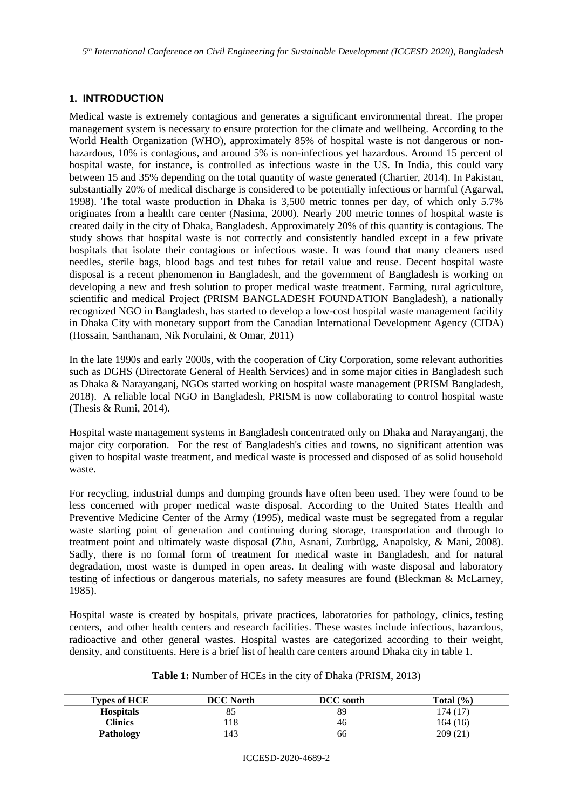*5 th International Conference on Civil Engineering for Sustainable Development (ICCESD 2020), Bangladesh*

# **1. INTRODUCTION**

Medical waste is extremely contagious and generates a significant environmental threat. The proper management system is necessary to ensure protection for the climate and wellbeing. According to the World Health Organization (WHO), approximately 85% of hospital waste is not dangerous or nonhazardous, 10% is contagious, and around 5% is non-infectious yet hazardous. Around 15 percent of hospital waste, for instance, is controlled as infectious waste in the US. In India, this could vary between 15 and 35% depending on the total quantity of waste generated (Chartier, 2014). In Pakistan, substantially 20% of medical discharge is considered to be potentially infectious or harmful (Agarwal, 1998). The total waste production in Dhaka is 3,500 metric tonnes per day, of which only 5.7% originates from a health care center (Nasima, 2000). Nearly 200 metric tonnes of hospital waste is created daily in the city of Dhaka, Bangladesh. Approximately 20% of this quantity is contagious. The study shows that hospital waste is not correctly and consistently handled except in a few private hospitals that isolate their contagious or infectious waste. It was found that many cleaners used needles, sterile bags, blood bags and test tubes for retail value and reuse. Decent hospital waste disposal is a recent phenomenon in Bangladesh, and the government of Bangladesh is working on developing a new and fresh solution to proper medical waste treatment. Farming, rural agriculture, scientific and medical Project (PRISM BANGLADESH FOUNDATION Bangladesh), a nationally recognized NGO in Bangladesh, has started to develop a low-cost hospital waste management facility in Dhaka City with monetary support from the Canadian International Development Agency (CIDA) (Hossain, Santhanam, Nik Norulaini, & Omar, 2011)

In the late 1990s and early 2000s, with the cooperation of City Corporation, some relevant authorities such as DGHS (Directorate General of Health Services) and in some major cities in Bangladesh such as Dhaka & Narayanganj, NGOs started working on hospital waste management (PRISM Bangladesh, 2018). A reliable local NGO in Bangladesh, PRISM is now collaborating to control hospital waste (Thesis & Rumi, 2014).

Hospital waste management systems in Bangladesh concentrated only on Dhaka and Narayanganj, the major city corporation. For the rest of Bangladesh's cities and towns, no significant attention was given to hospital waste treatment, and medical waste is processed and disposed of as solid household waste.

For recycling, industrial dumps and dumping grounds have often been used. They were found to be less concerned with proper medical waste disposal. According to the United States Health and Preventive Medicine Center of the Army (1995), medical waste must be segregated from a regular waste starting point of generation and continuing during storage, transportation and through to treatment point and ultimately waste disposal (Zhu, Asnani, Zurbrügg, Anapolsky, & Mani, 2008). Sadly, there is no formal form of treatment for medical waste in Bangladesh, and for natural degradation, most waste is dumped in open areas. In dealing with waste disposal and laboratory testing of infectious or dangerous materials, no safety measures are found (Bleckman & McLarney, 1985).

Hospital waste is created by hospitals, private practices, laboratories for pathology, clinics, testing centers, and other health centers and research facilities. These wastes include infectious, hazardous, radioactive and other general wastes. Hospital wastes are categorized according to their weight, density, and constituents. Here is a brief list of health care centers around Dhaka city in table 1.

### **Table 1:** Number of HCEs in the city of Dhaka (PRISM, 2013)

| <b>Types of HCE</b> | <b>DCC</b> North | DCC south | Total $(\% )$ |
|---------------------|------------------|-----------|---------------|
| <b>Hospitals</b>    | 85               | 89        | 174 (17)      |
| Clinics             | l 18             | 46        | 164(16)       |
| <b>Pathology</b>    | 143              | 66        | 209(21)       |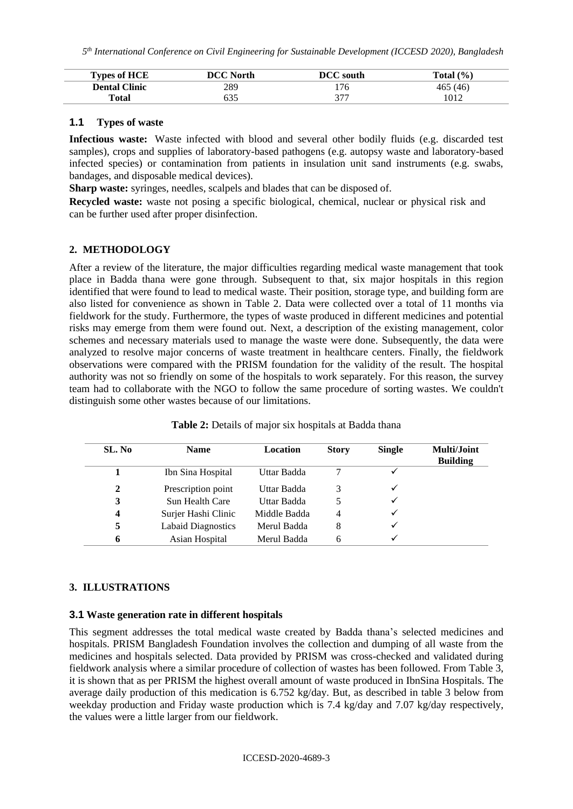| <b>Types of HCE</b>  | DCC North | <b>DCC</b> south | Total $(\% )$ |
|----------------------|-----------|------------------|---------------|
| <b>Dental Clinic</b> | 289       | 176              | 465 (46)      |
| Total                | 635       | 277<br>ັ         | 1012          |

## **1.1 Types of waste**

**Infectious waste:** Waste infected with blood and several other bodily fluids (e.g. discarded test samples), crops and supplies of laboratory-based pathogens (e.g. autopsy waste and laboratory-based infected species) or contamination from patients in insulation unit sand instruments (e.g. swabs, bandages, and disposable medical devices).

**Sharp waste:** syringes, needles, scalpels and blades that can be disposed of.

**Recycled waste:** waste not posing a specific biological, chemical, nuclear or physical risk and can be further used after proper disinfection.

# **2. METHODOLOGY**

After a review of the literature, the major difficulties regarding medical waste management that took place in Badda thana were gone through. Subsequent to that, six major hospitals in this region identified that were found to lead to medical waste. Their position, storage type, and building form are also listed for convenience as shown in Table 2. Data were collected over a total of 11 months via fieldwork for the study. Furthermore, the types of waste produced in different medicines and potential risks may emerge from them were found out. Next, a description of the existing management, color schemes and necessary materials used to manage the waste were done. Subsequently, the data were analyzed to resolve major concerns of waste treatment in healthcare centers. Finally, the fieldwork observations were compared with the PRISM foundation for the validity of the result. The hospital authority was not so friendly on some of the hospitals to work separately. For this reason, the survey team had to collaborate with the NGO to follow the same procedure of sorting wastes. We couldn't distinguish some other wastes because of our limitations.

| SL. No | <b>Name</b>               | Location     | <b>Story</b>   | <b>Single</b> | <b>Multi/Joint</b><br><b>Building</b> |
|--------|---------------------------|--------------|----------------|---------------|---------------------------------------|
|        | Ibn Sina Hospital         | Uttar Badda  |                |               |                                       |
| 2      | Prescription point        | Uttar Badda  |                |               |                                       |
| 3      | Sun Health Care           | Uttar Badda  |                |               |                                       |
| 4      | Surjer Hashi Clinic       | Middle Badda | $\overline{4}$ |               |                                       |
| 5      | <b>Labaid Diagnostics</b> | Merul Badda  | 8              |               |                                       |
| 6      | Asian Hospital            | Merul Badda  |                |               |                                       |

**Table 2:** Details of major six hospitals at Badda thana

### **3. ILLUSTRATIONS**

### **3.1 Waste generation rate in different hospitals**

This segment addresses the total medical waste created by Badda thana's selected medicines and hospitals. PRISM Bangladesh Foundation involves the collection and dumping of all waste from the medicines and hospitals selected. Data provided by PRISM was cross-checked and validated during fieldwork analysis where a similar procedure of collection of wastes has been followed. From Table 3, it is shown that as per PRISM the highest overall amount of waste produced in IbnSina Hospitals. The average daily production of this medication is 6.752 kg/day. But, as described in table 3 below from weekday production and Friday waste production which is 7.4 kg/day and 7.07 kg/day respectively, the values were a little larger from our fieldwork.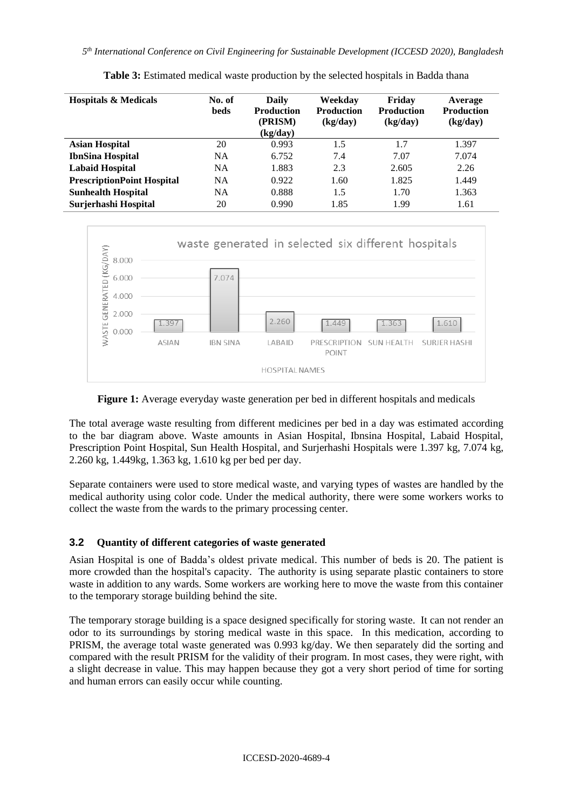| <b>Hospitals &amp; Medicals</b>   | No. of<br>beds | Daily<br><b>Production</b><br>(PRISM)<br>(kg/day) | Weekday<br><b>Production</b><br>(kg/day) | Friday<br><b>Production</b><br>(kg/day) | Average<br><b>Production</b><br>(kg/day) |
|-----------------------------------|----------------|---------------------------------------------------|------------------------------------------|-----------------------------------------|------------------------------------------|
| <b>Asian Hospital</b>             | 20             | 0.993                                             | 1.5                                      | 1.7                                     | 1.397                                    |
| <b>IbnSina Hospital</b>           | <b>NA</b>      | 6.752                                             | 7.4                                      | 7.07                                    | 7.074                                    |
| <b>Labaid Hospital</b>            | <b>NA</b>      | 1.883                                             | 2.3                                      | 2.605                                   | 2.26                                     |
| <b>PrescriptionPoint Hospital</b> | <b>NA</b>      | 0.922                                             | 1.60                                     | 1.825                                   | 1.449                                    |
| <b>Sunhealth Hospital</b>         | <b>NA</b>      | 0.888                                             | 1.5                                      | 1.70                                    | 1.363                                    |
| Surjerhashi Hospital              | 20             | 0.990                                             | 1.85                                     | 1.99                                    | 1.61                                     |

**Table 3:** Estimated medical waste production by the selected hospitals in Badda thana



**Figure 1:** Average everyday waste generation per bed in different hospitals and medicals

The total average waste resulting from different medicines per bed in a day was estimated according to the bar diagram above. Waste amounts in Asian Hospital, Ibnsina Hospital, Labaid Hospital, Prescription Point Hospital, Sun Health Hospital, and Surjerhashi Hospitals were 1.397 kg, 7.074 kg, 2.260 kg, 1.449kg, 1.363 kg, 1.610 kg per bed per day.

Separate containers were used to store medical waste, and varying types of wastes are handled by the medical authority using color code. Under the medical authority, there were some workers works to collect the waste from the wards to the primary processing center.

# **3.2 Quantity of different categories of waste generated**

Asian Hospital is one of Badda's oldest private medical. This number of beds is 20. The patient is more crowded than the hospital's capacity. The authority is using separate plastic containers to store waste in addition to any wards. Some workers are working here to move the waste from this container to the temporary storage building behind the site.

The temporary storage building is a space designed specifically for storing waste. It can not render an odor to its surroundings by storing medical waste in this space. In this medication, according to PRISM, the average total waste generated was 0.993 kg/day. We then separately did the sorting and compared with the result PRISM for the validity of their program. In most cases, they were right, with a slight decrease in value. This may happen because they got a very short period of time for sorting and human errors can easily occur while counting.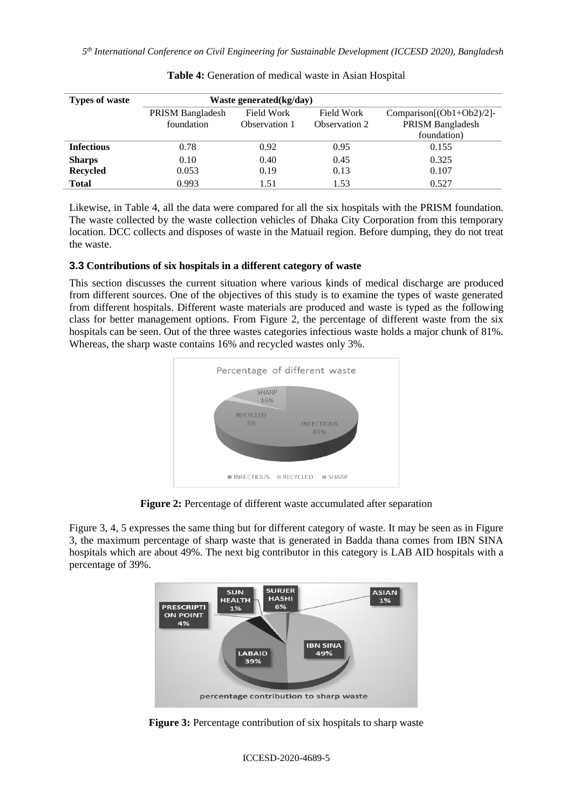*5 th International Conference on Civil Engineering for Sustainable Development (ICCESD 2020), Bangladesh*

| <b>Types of waste</b> | Waste generated $(kg/day)$ |               |                   |                              |
|-----------------------|----------------------------|---------------|-------------------|------------------------------|
|                       | PRISM Bangladesh           | Field Work    | <b>Field Work</b> | Comparison $[(Ob1+Ob2)/2]$ - |
|                       | foundation                 | Observation 1 | Observation 2     | PRISM Bangladesh             |
|                       |                            |               |                   | foundation)                  |
| <b>Infectious</b>     | 0.78                       | 0.92          | 0.95              | 0.155                        |
| <b>Sharps</b>         | 0.10                       | 0.40          | 0.45              | 0.325                        |
| <b>Recycled</b>       | 0.053                      | 0.19          | 0.13              | 0.107                        |
| <b>Total</b>          | 0.993                      | 1.51          | 1.53              | 0.527                        |

| Table 4: Generation of medical waste in Asian Hospital |  |
|--------------------------------------------------------|--|
|--------------------------------------------------------|--|

Likewise, in Table 4, all the data were compared for all the six hospitals with the PRISM foundation. The waste collected by the waste collection vehicles of Dhaka City Corporation from this temporary location. DCC collects and disposes of waste in the Matuail region. Before dumping, they do not treat the waste.

# **3.3 Contributions of six hospitals in a different category of waste**

This section discusses the current situation where various kinds of medical discharge are produced from different sources. One of the objectives of this study is to examine the types of waste generated from different hospitals. Different waste materials are produced and waste is typed as the following class for better management options. From Figure 2, the percentage of different waste from the six hospitals can be seen. Out of the three wastes categories infectious waste holds a major chunk of 81%. Whereas, the sharp waste contains 16% and recycled wastes only 3%.



**Figure 2:** Percentage of different waste accumulated after separation

Figure 3, 4, 5 expresses the same thing but for different category of waste. It may be seen as in Figure 3, the maximum percentage of sharp waste that is generated in Badda thana comes from IBN SINA hospitals which are about 49%. The next big contributor in this category is LAB AID hospitals with a percentage of 39%.



**Figure 3:** Percentage contribution of six hospitals to sharp waste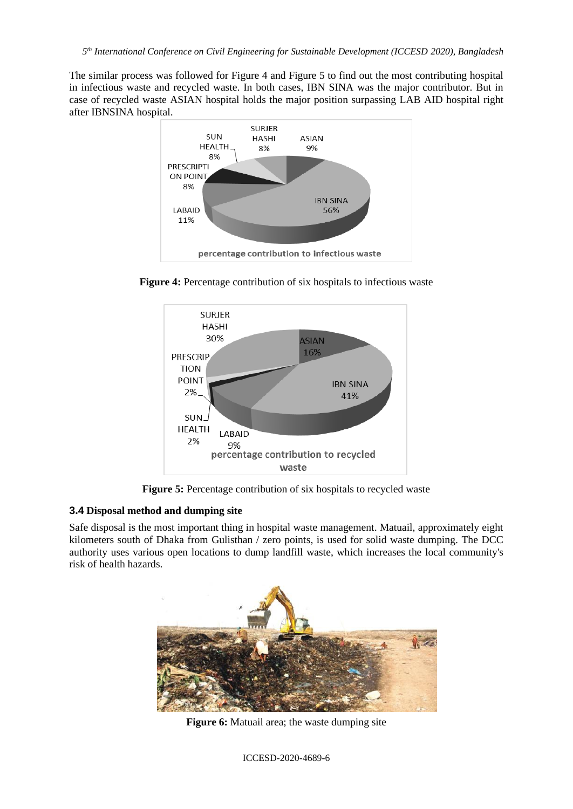The similar process was followed for Figure 4 and Figure 5 to find out the most contributing hospital in infectious waste and recycled waste. In both cases, IBN SINA was the major contributor. But in case of recycled waste ASIAN hospital holds the major position surpassing LAB AID hospital right after IBNSINA hospital.



**Figure 4:** Percentage contribution of six hospitals to infectious waste



**Figure 5:** Percentage contribution of six hospitals to recycled waste

## **3.4 Disposal method and dumping site**

Safe disposal is the most important thing in hospital waste management. Matuail, approximately eight kilometers south of Dhaka from Gulisthan / zero points, is used for solid waste dumping. The DCC authority uses various open locations to dump landfill waste, which increases the local community's risk of health hazards.



**Figure 6:** Matuail area; the waste dumping site

ICCESD-2020-4689-6